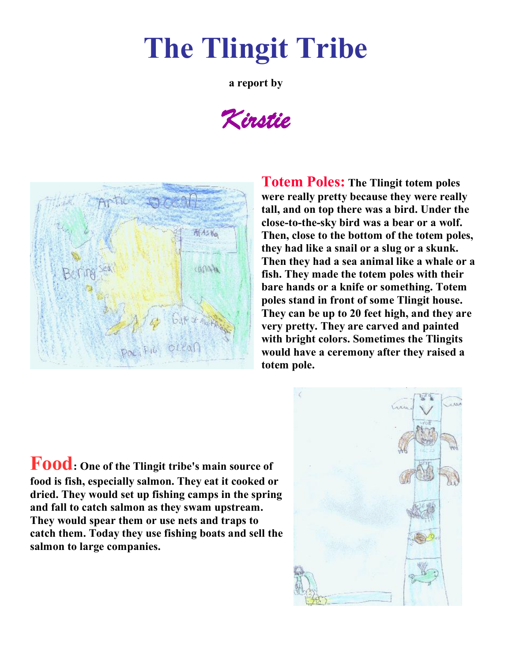## **The Tlingit Tribe**

**a report by** 

*Kirstie*



**Totem Poles: The Tlingit totem poles were really pretty because they were really tall, and on top there was a bird. Under the**  close-to-the-sky bird was a bear or a wolf. **Then, close to the bottom of the totem poles, they had like a snail or a slug or a skunk. Then they had a sea animal like a whale or a fish. They made the totem poles with their bare hands or a knife or something. Totem poles stand in front of some Tlingit house. They can be up to 20 feet high, and they are very pretty. They are carved and painted with bright colors. Sometimes the Tlingits would have a ceremony after they raised a totem pole.** 

**Food: One of the Tlingit tribe's main source of food is fish, especially salmon. They eat it cooked or dried. They would set up fishing camps in the spring and fall to catch salmon as they swam upstream. They would spear them or use nets and traps to catch them. Today they use fishing boats and sell the salmon to large companies.**